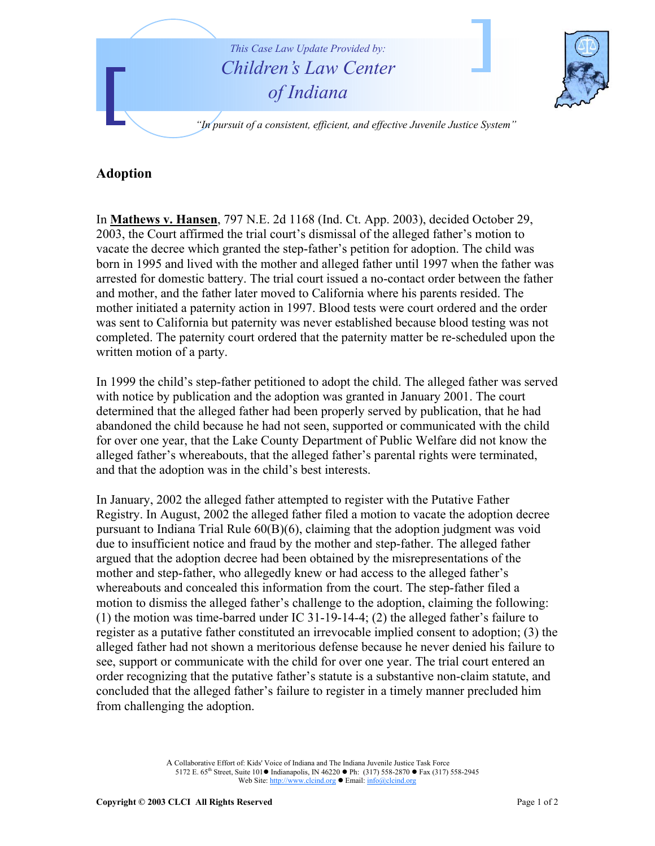

## **Adoption**

In **Mathews v. Hansen**, 797 N.E. 2d 1168 (Ind. Ct. App. 2003), decided October 29, 2003, the Court affirmed the trial court's dismissal of the alleged father's motion to vacate the decree which granted the step-father's petition for adoption. The child was born in 1995 and lived with the mother and alleged father until 1997 when the father was arrested for domestic battery. The trial court issued a no-contact order between the father and mother, and the father later moved to California where his parents resided. The mother initiated a paternity action in 1997. Blood tests were court ordered and the order was sent to California but paternity was never established because blood testing was not completed. The paternity court ordered that the paternity matter be re-scheduled upon the written motion of a party.

In 1999 the child's step-father petitioned to adopt the child. The alleged father was served with notice by publication and the adoption was granted in January 2001. The court determined that the alleged father had been properly served by publication, that he had abandoned the child because he had not seen, supported or communicated with the child for over one year, that the Lake County Department of Public Welfare did not know the alleged father's whereabouts, that the alleged father's parental rights were terminated, and that the adoption was in the child's best interests.

In January, 2002 the alleged father attempted to register with the Putative Father Registry. In August, 2002 the alleged father filed a motion to vacate the adoption decree pursuant to Indiana Trial Rule 60(B)(6), claiming that the adoption judgment was void due to insufficient notice and fraud by the mother and step-father. The alleged father argued that the adoption decree had been obtained by the misrepresentations of the mother and step-father, who allegedly knew or had access to the alleged father's whereabouts and concealed this information from the court. The step-father filed a motion to dismiss the alleged father's challenge to the adoption, claiming the following: (1) the motion was time-barred under IC 31-19-14-4; (2) the alleged father's failure to register as a putative father constituted an irrevocable implied consent to adoption; (3) the alleged father had not shown a meritorious defense because he never denied his failure to see, support or communicate with the child for over one year. The trial court entered an order recognizing that the putative father's statute is a substantive non-claim statute, and concluded that the alleged father's failure to register in a timely manner precluded him from challenging the adoption.

> A Collaborative Effort of: Kids' Voice of Indiana and The Indiana Juvenile Justice Task Force 5172 E. 65<sup>th</sup> Street, Suite 101 ● Indianapolis, IN 46220 ● Ph: (317) 558-2870 ● Fax (317) 558-2945 Web Site: http://www.clcind.org • Email: info@clcind.org